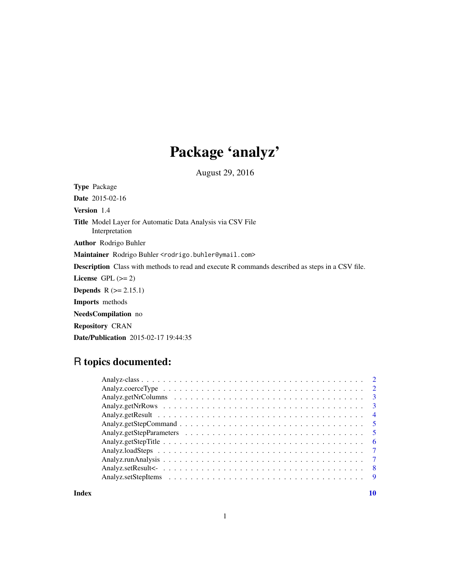# Package 'analyz'

August 29, 2016

Type Package Date 2015-02-16 Version 1.4 Title Model Layer for Automatic Data Analysis via CSV File Interpretation Author Rodrigo Buhler Maintainer Rodrigo Buhler <rodrigo.buhler@ymail.com> Description Class with methods to read and execute R commands described as steps in a CSV file. License GPL  $(>= 2)$ Depends R (>= 2.15.1) Imports methods NeedsCompilation no Repository CRAN Date/Publication 2015-02-17 19:44:35

# R topics documented:

| $\overline{4}$ |
|----------------|
|                |
|                |
| -6             |
| $\overline{7}$ |
| $\overline{7}$ |
| - 8            |
|                |

 $\blacksquare$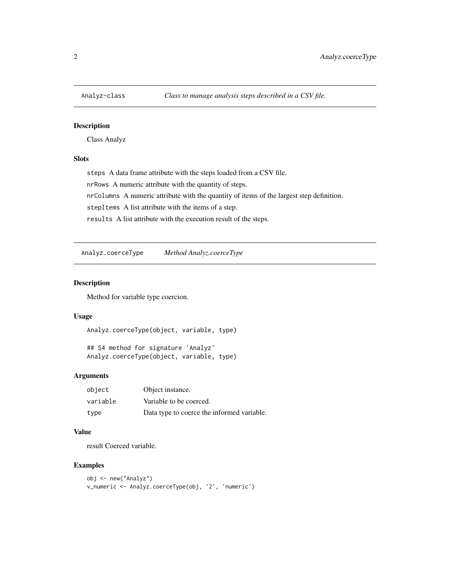<span id="page-1-0"></span>

# Description

Class Analyz

# **Slots**

steps A data frame attribute with the steps loaded from a CSV file. nrRows A numeric attribute with the quantity of steps. nrColumns A numeric attribute with the quantity of items of the largest step definition. stepItems A list attribute with the items of a step. results A list attribute with the execution result of the steps.

Analyz.coerceType *Method Analyz.coerceType*

# Description

Method for variable type coercion.

#### Usage

Analyz.coerceType(object, variable, type)

## S4 method for signature 'Analyz' Analyz.coerceType(object, variable, type)

# Arguments

| object   | Object instance.                           |
|----------|--------------------------------------------|
| variable | Variable to be coerced.                    |
| type     | Data type to coerce the informed variable. |

#### Value

result Coerced variable.

```
obj <- new("Analyz")
v_numeric <- Analyz.coerceType(obj, '2', 'numeric')
```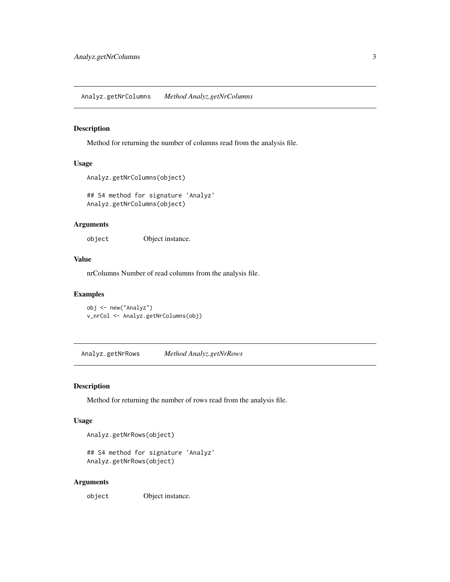<span id="page-2-0"></span>Analyz.getNrColumns *Method Analyz.getNrColumns*

# Description

Method for returning the number of columns read from the analysis file.

#### Usage

```
Analyz.getNrColumns(object)
```
## S4 method for signature 'Analyz' Analyz.getNrColumns(object)

#### Arguments

object Object instance.

#### Value

nrColumns Number of read columns from the analysis file.

#### Examples

obj <- new("Analyz") v\_nrCol <- Analyz.getNrColumns(obj)

Analyz.getNrRows *Method Analyz.getNrRows*

#### Description

Method for returning the number of rows read from the analysis file.

#### Usage

Analyz.getNrRows(object)

```
## S4 method for signature 'Analyz'
Analyz.getNrRows(object)
```
#### Arguments

object Object instance.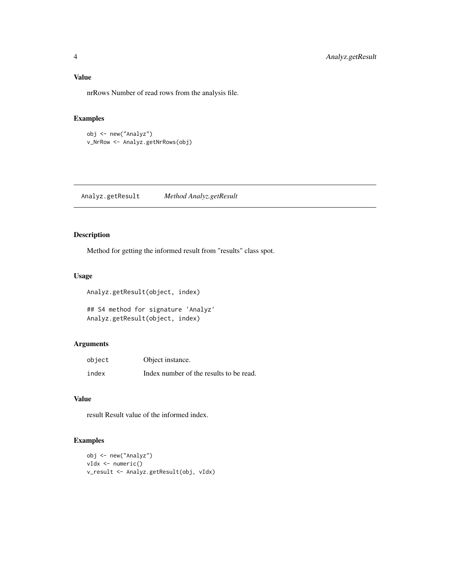<span id="page-3-0"></span>nrRows Number of read rows from the analysis file.

#### Examples

obj <- new("Analyz") v\_NrRow <- Analyz.getNrRows(obj)

Analyz.getResult *Method Analyz.getResult*

# Description

Method for getting the informed result from "results" class spot.

#### Usage

Analyz.getResult(object, index) ## S4 method for signature 'Analyz'

Analyz.getResult(object, index)

# Arguments

| object | Object instance.                        |
|--------|-----------------------------------------|
| index  | Index number of the results to be read. |

#### Value

result Result value of the informed index.

```
obj <- new("Analyz")
vIdx <- numeric()
v_result <- Analyz.getResult(obj, vIdx)
```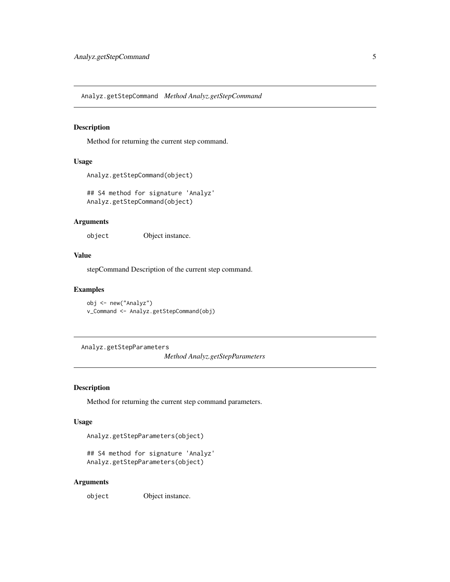<span id="page-4-0"></span>Analyz.getStepCommand *Method Analyz.getStepCommand*

#### Description

Method for returning the current step command.

# Usage

```
Analyz.getStepCommand(object)
```
## S4 method for signature 'Analyz' Analyz.getStepCommand(object)

# Arguments

object Object instance.

# Value

stepCommand Description of the current step command.

# Examples

obj <- new("Analyz") v\_Command <- Analyz.getStepCommand(obj)

Analyz.getStepParameters

*Method Analyz.getStepParameters*

# Description

Method for returning the current step command parameters.

#### Usage

Analyz.getStepParameters(object)

```
## S4 method for signature 'Analyz'
Analyz.getStepParameters(object)
```
#### Arguments

object Object instance.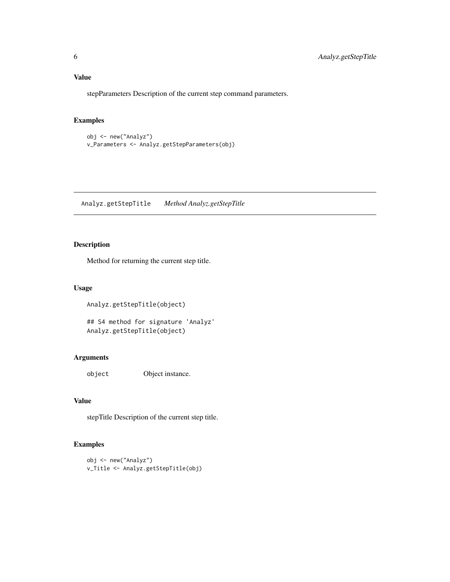<span id="page-5-0"></span>Value

stepParameters Description of the current step command parameters.

# Examples

```
obj <- new("Analyz")
v_Parameters <- Analyz.getStepParameters(obj)
```
Analyz.getStepTitle *Method Analyz.getStepTitle*

# Description

Method for returning the current step title.

#### Usage

```
Analyz.getStepTitle(object)
```

```
## S4 method for signature 'Analyz'
Analyz.getStepTitle(object)
```
# Arguments

object Object instance.

# Value

stepTitle Description of the current step title.

```
obj <- new("Analyz")
v_Title <- Analyz.getStepTitle(obj)
```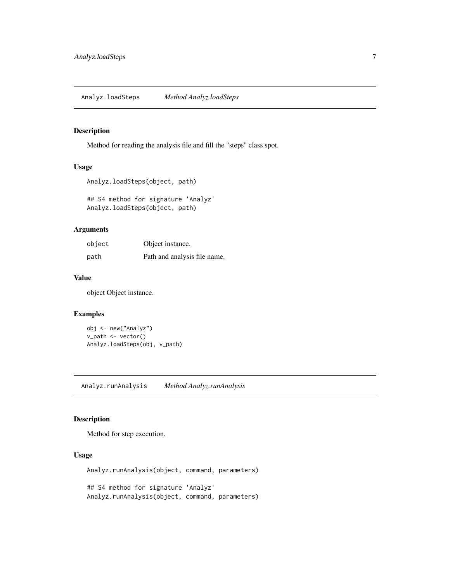<span id="page-6-0"></span>Analyz.loadSteps *Method Analyz.loadSteps*

#### Description

Method for reading the analysis file and fill the "steps" class spot.

#### Usage

```
Analyz.loadSteps(object, path)
```
## S4 method for signature 'Analyz' Analyz.loadSteps(object, path)

# Arguments

| object | Object instance.             |
|--------|------------------------------|
| path   | Path and analysis file name. |

#### Value

object Object instance.

#### Examples

obj <- new("Analyz") v\_path <- vector() Analyz.loadSteps(obj, v\_path)

Analyz.runAnalysis *Method Analyz.runAnalysis*

# Description

Method for step execution.

#### Usage

```
Analyz.runAnalysis(object, command, parameters)
## S4 method for signature 'Analyz'
Analyz.runAnalysis(object, command, parameters)
```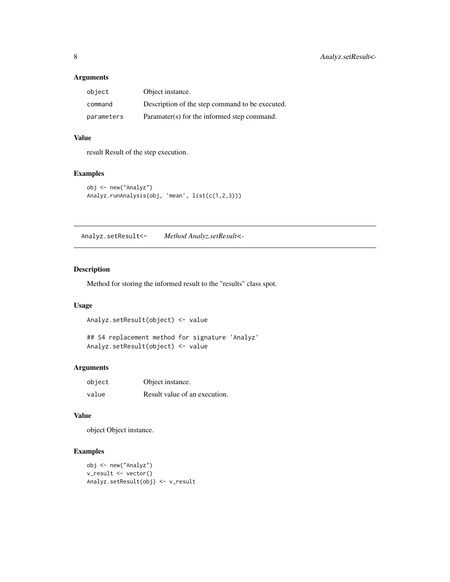# <span id="page-7-0"></span>Arguments

| object     | Object instance.                                |
|------------|-------------------------------------------------|
| command    | Description of the step command to be executed. |
| parameters | Paramater(s) for the informed step command.     |

#### Value

result Result of the step execution.

# Examples

```
obj <- new("Analyz")
Analyz.runAnalysis(obj, 'mean', list(c(1,2,3)))
```
Analyz.setResult<- *Method Analyz.setResult<-*

# Description

Method for storing the informed result to the "results" class spot.

#### Usage

Analyz.setResult(object) <- value

## S4 replacement method for signature 'Analyz' Analyz.setResult(object) <- value

# Arguments

| object | Object instance.              |
|--------|-------------------------------|
| value  | Result value of an execution. |

# Value

object Object instance.

```
obj <- new("Analyz")
v_result <- vector()
Analyz.setResult(obj) <- v_result
```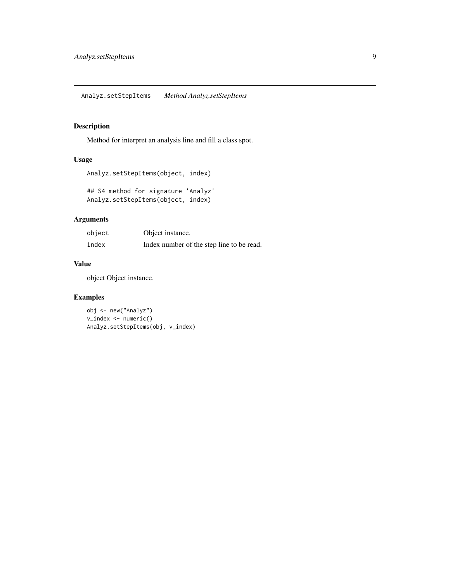# <span id="page-8-0"></span>Description

Method for interpret an analysis line and fill a class spot.

# Usage

```
Analyz.setStepItems(object, index)
```
## S4 method for signature 'Analyz' Analyz.setStepItems(object, index)

# Arguments

| object | Object instance.                          |
|--------|-------------------------------------------|
| index  | Index number of the step line to be read. |

#### Value

object Object instance.

# Examples

obj <- new("Analyz") v\_index <- numeric() Analyz.setStepItems(obj, v\_index)